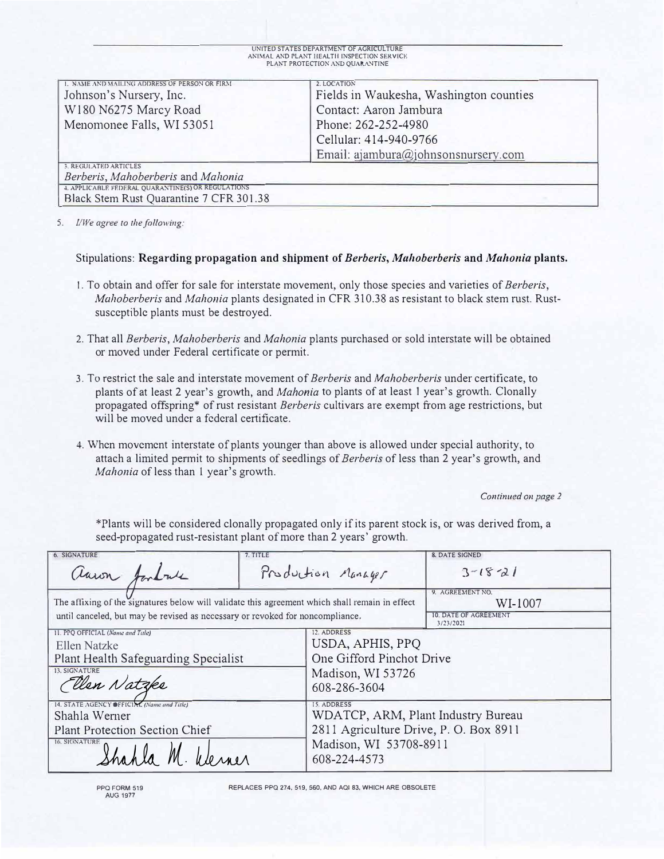| UNITED STATES DEPARTMENT OF AGRICULTURE    |
|--------------------------------------------|
| ANIMAL AND PLANT HEALTH INSPECTION SERVICE |
| PLANT PROTECTION AND QUARANTINE            |

| 1. NAME AND MAILING ADDRESS OF PERSON OR FIRM      | 2. LOCATION                             |  |  |
|----------------------------------------------------|-----------------------------------------|--|--|
| Johnson's Nursery, Inc.                            | Fields in Waukesha, Washington counties |  |  |
| W180 N6275 Marcy Road                              | Contact: Aaron Jambura                  |  |  |
| Menomonee Falls, WI 53051                          | Phone: 262-252-4980                     |  |  |
|                                                    | Cellular: 414-940-9766                  |  |  |
|                                                    | Email: ajambura@johnsonsnursery.com     |  |  |
| 3. REGULATED ARTICLES                              |                                         |  |  |
| Berberis, Mahoberberis and Mahonia                 |                                         |  |  |
| 4. APPLICABLE FEDERAL QUARANTINE(S) OR REGULATIONS |                                         |  |  |
| Black Stem Rust Quarantine 7 CFR 301.38            |                                         |  |  |

5. *I/We agree to the following:*

## Stipulations: **Regarding propagation and shipment of** *Berberis, Malzoberberis* **and** *Mahonia* **plants.**

- I. To obtain and offer for sale for interstate movement, only those species and varieties of *Berberis, Mahoberberis* and *Mahonia* plants designated in CFR 310.38 as resistant to black stem rnst. Rustsusceptible plants must be destroyed.
- 2. That all *Berberis, Mahoberberis* and *Mahonia* plants purchased or sold interstate will be obtained or moved under Federal certificate or permit.
- 3. To restrict the sale and interstate movement of *Berberis* and *Mahoberberis* under certificate, to plants of at least 2 year's growth, and *Mahonia* to plants of at least 1 year's growth. Clonally propagated offspring\* of rust resistant *Berberis* cultivars are exempt from age restrictions, but will be moved under a federal certificate.
- 4. When movement interstate of plants younger than above is allowed under special authority, to attach a limited pennit to shipments of seedlings of *Berberis* of less than 2 year's growth, and *Mahonia* of less than I year's growth.

Continued on page 2

\*Plants will be considered clonally propagated only if its parent stock is, or was derived from, a seed-propagated rust-resistant plant of more than 2 years' growth.

| <b>6. SIGNATURE</b>                                                                                                        | 7. TITLE           |                                                                                                                                       | <b>8. DATE SIGNED</b> |
|----------------------------------------------------------------------------------------------------------------------------|--------------------|---------------------------------------------------------------------------------------------------------------------------------------|-----------------------|
| auron fortale                                                                                                              | Production Manager |                                                                                                                                       | $3 - 18 - 21$         |
| The affixing of the signatures below will validate this agreement which shall remain in effect                             |                    | 9. AGREEMENT NO.<br>WI-1007                                                                                                           |                       |
| until canceled, but may be revised as necessary or revoked for noncompliance.                                              |                    | <b>10. DATE OF AGREEMENT</b><br>3/23/2021                                                                                             |                       |
| 11. PPQ OFFICIAL (Name and Title)<br>Ellen Natzke<br>Plant Health Safeguarding Specialist<br>13. SIGNATURE<br>Ellen Natzke |                    | 12. ADDRESS<br>USDA, APHIS, PPQ<br>One Gifford Pinchot Drive<br>Madison, WI 53726<br>608-286-3604                                     |                       |
| 14. STATE AGENCY OFFICIAL (Name and Title)<br>Shahla Werner<br><b>Plant Protection Section Chief</b><br>16. SIGNATURE      |                    | 15. ADDRESS<br>WDATCP, ARM, Plant Industry Bureau<br>2811 Agriculture Drive, P. O. Box 8911<br>Madison, WI 53708-8911<br>608-224-4573 |                       |

REPLACES PPQ **274,** 519, 560, AND AQI **83,** WHICH ARE OBSOLETE